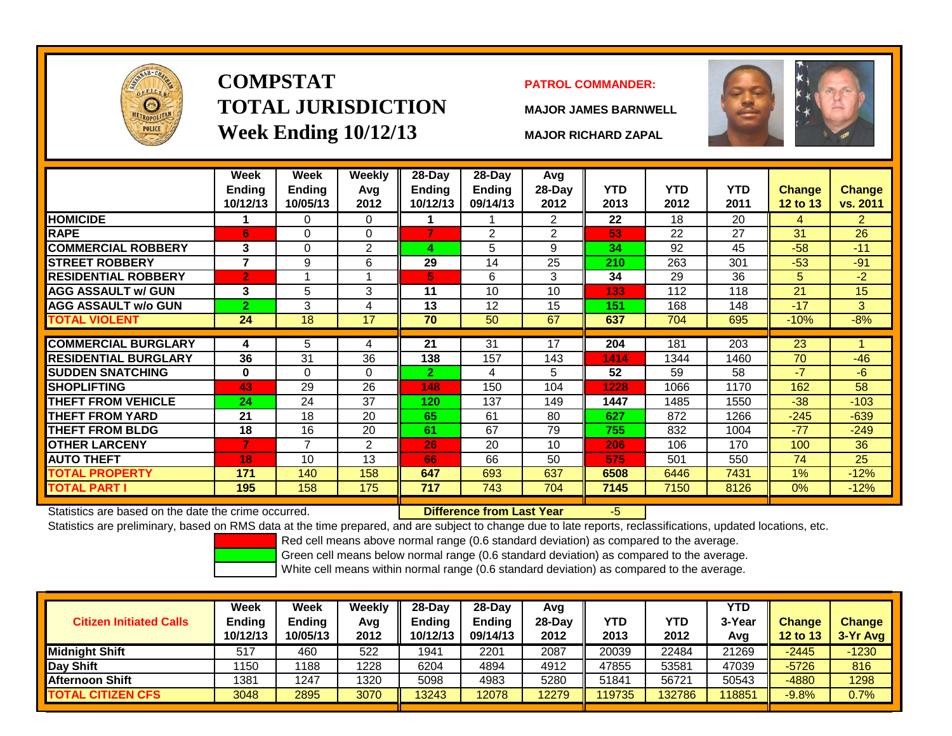

# **COMPSTATTOTAL JURISDICTIONWeek Ending 10/12/13 MAJOR RICHARD ZAPAL**

#### **PATROL COMMANDER:**

**MAJOR JAMES BARNWELL**



|                                                      | Week<br>Ending<br>10/12/13 | Week<br><b>Ending</b><br>10/05/13 | <b>Weekly</b><br>Avg<br>2012 | 28-Day<br>Ending<br>10/12/13 | $28$ -Day<br><b>Ending</b><br>09/14/13 | Avg<br>28-Day<br>2012 | <b>YTD</b><br>2013 | <b>YTD</b><br>2012 | <b>YTD</b><br>2011 | Change<br>12 to 13 | Change<br>vs. 2011 |
|------------------------------------------------------|----------------------------|-----------------------------------|------------------------------|------------------------------|----------------------------------------|-----------------------|--------------------|--------------------|--------------------|--------------------|--------------------|
| <b>HOMICIDE</b>                                      |                            | 0                                 | 0                            |                              |                                        | $\overline{2}$        | 22                 | 18                 | 20                 | 4                  | $\overline{2}$     |
| <b>RAPE</b>                                          | 6                          | 0                                 | $\Omega$                     |                              | $\overline{2}$                         | $\overline{2}$        | 53                 | 22                 | 27                 | 31                 | 26                 |
| <b>COMMERCIAL ROBBERY</b>                            | 3                          | 0                                 | 2                            | 4                            | 5                                      | 9                     | 34                 | 92                 | 45                 | $-58$              | $-11$              |
| <b>STREET ROBBERY</b>                                | 7                          | 9                                 | 6                            | 29                           | 14                                     | 25                    | 210                | 263                | 301                | $-53$              | $-91$              |
| <b>RESIDENTIAL ROBBERY</b>                           | $\overline{2}$             | 1                                 |                              | 5.                           | 6                                      | 3                     | 34                 | 29                 | 36                 | 5                  | $-2$               |
| <b>AGG ASSAULT w/ GUN</b>                            | 3                          | 5                                 | 3                            | 11                           | 10                                     | 10                    | 133                | 112                | 118                | 21                 | 15                 |
| <b>AGG ASSAULT w/o GUN</b>                           | $\overline{2}$             | 3                                 | 4                            | 13                           | 12                                     | 15                    | 151                | 168                | 148                | $-17$              | 3                  |
| <b>TOTAL VIOLENT</b>                                 | 24                         | 18                                | 17                           | 70                           | 50                                     | 67                    | 637                | 704                | 695                | $-10%$             | $-8%$              |
|                                                      |                            |                                   |                              |                              |                                        |                       |                    |                    |                    |                    |                    |
| <b>COMMERCIAL BURGLARY</b>                           | 4                          | 5                                 | 4                            | 21                           | 31                                     | 17                    | 204                | 181                | 203                | 23                 |                    |
| <b>RESIDENTIAL BURGLARY</b>                          | 36                         | 31                                | 36                           | 138                          | 157                                    | 143                   | 1414               | 1344               | 1460               | 70                 | $-46$              |
| <b>SUDDEN SNATCHING</b>                              | $\bf{0}$                   | 0                                 | $\Omega$                     | $\mathbf{2}$                 | 4                                      | 5 <sup>5</sup>        | 52                 | 59                 | 58                 | $-7$               | $-6$               |
| <b>SHOPLIFTING</b>                                   | 43                         | 29                                | 26                           | 148                          | 150                                    | 104                   | 1228               | 1066               | 1170               | 162                | 58                 |
| THEFT FROM VEHICLE                                   | 24                         | 24                                | 37                           | 120                          | 137                                    | 149                   | 1447               | 1485               | 1550               | $-38$              | $-103$             |
| <b>THEFT FROM YARD</b>                               | 21                         | 18                                | 20                           | 65                           | 61                                     | 80                    | 627                | 872                | 1266               | $-245$             | $-639$             |
| <b>THEFT FROM BLDG</b>                               | 18                         | 16                                | 20                           | 61                           | 67                                     | 79                    | 755                | 832                | 1004               | $-77$              | $-249$             |
| <b>OTHER LARCENY</b>                                 | $\overline{7}$             | $\overline{7}$                    | $\overline{2}$               | 26                           | 20                                     | 10                    | 206                | 106                | 170                | 100                | 36                 |
| <b>AUTO THEFT</b>                                    | 18                         | 10                                | 13                           | 66                           | 66                                     | 50                    | 575                | 501                | 550                | 74                 | 25                 |
| <b>TOTAL PROPERTY</b>                                | 171                        | 140                               | 158                          | 647                          | 693                                    | 637                   | 6508               | 6446               | 7431               | 1%                 | $-12%$             |
| <b>TOTAL PART I</b>                                  | 195                        | 158                               | 175                          | 717                          | 743                                    | 704                   | 7145               | 7150               | 8126               | 0%                 | $-12%$             |
| Statistics are based on the date the crime occurred. |                            |                                   |                              |                              | Difference from Last Year              |                       | $-5$               |                    |                    |                    |                    |

Statistics are based on the date the crime occurred. **Difference from Last Year** 

Statistics are preliminary, based on RMS data at the time prepared, and are subject to change due to late reports, reclassifications, updated locations, etc.

Red cell means above normal range (0.6 standard deviation) as compared to the average.

Green cell means below normal range (0.6 standard deviation) as compared to the average.

| <b>Citizen Initiated Calls</b> | Week<br><b>Ending</b><br>10/12/13 | <b>Week</b><br><b>Ending</b><br>10/05/13 | Weekly<br>Avg<br>2012 | $28$ -Dav<br><b>Endina</b><br>10/12/13 | $28$ -Dav<br><b>Ending</b><br>09/14/13 | Avg<br>28-Day<br>2012 | <b>YTD</b><br>2013 | YTD<br>2012 | YTD<br>3-Year<br>Avg | <b>Change</b><br><b>12 to 13</b> | <b>Change</b><br>3-Yr Avg |
|--------------------------------|-----------------------------------|------------------------------------------|-----------------------|----------------------------------------|----------------------------------------|-----------------------|--------------------|-------------|----------------------|----------------------------------|---------------------------|
| Midniaht Shift                 | 517                               | 460                                      | 522                   | 1941                                   | 2201                                   | 2087                  | 20039              | 22484       | 21269                | $-2445$                          | $-1230$                   |
| Day Shift                      | 1150                              | 1188                                     | 1228                  | 6204                                   | 4894                                   | 4912                  | 47855              | 53581       | 47039                | $-5726$                          | 816                       |
| <b>Afternoon Shift</b>         | 1381                              | 1247                                     | 1320                  | 5098                                   | 4983                                   | 5280                  | 51841              | 56721       | 50543                | $-4880$                          | 1298                      |
| <b>TOTAL CITIZEN CFS</b>       | 3048                              | 2895                                     | 3070                  | 13243                                  | 12078                                  | 12279                 | 119735             | 132786      | 11885                | $-9.8%$                          | 0.7%                      |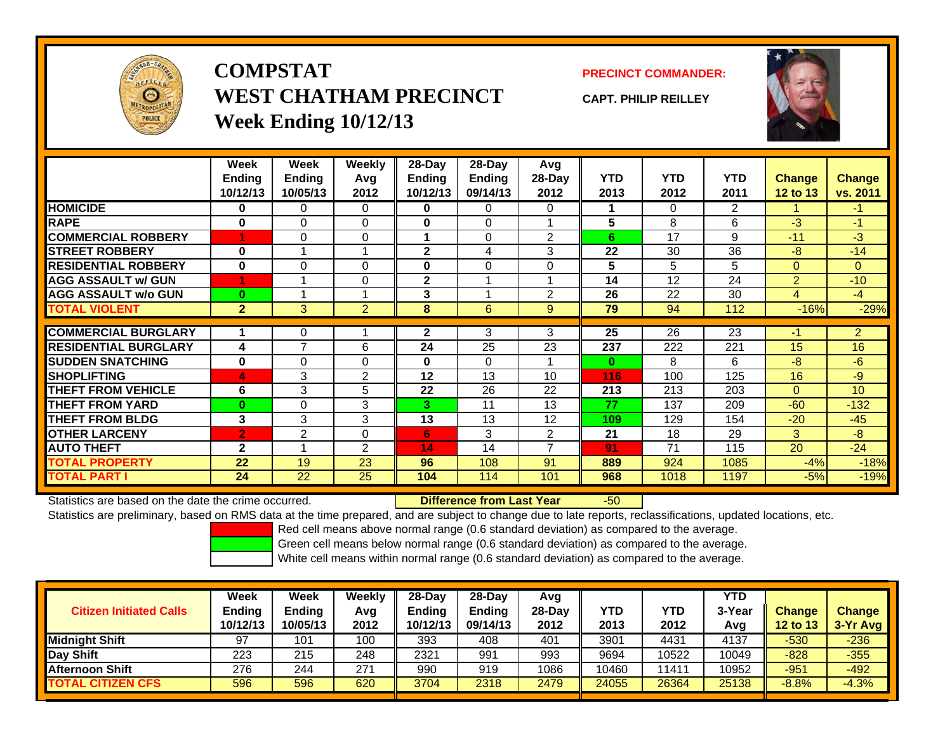

### **COMPSTATWEST CHATHAM PRECINCTWeek Ending 10/12/13**

### **PRECINCT COMMANDER:**

**CAPT. PHILIP REILLEY**



|                             | Week<br><b>Ending</b><br>10/12/13 | <b>Week</b><br><b>Ending</b><br>10/05/13 | <b>Weekly</b><br>Avg<br>2012 | 28-Day<br>Endina<br>10/12/13 | 28-Day<br>Ending<br>09/14/13 | Avg<br>28-Day<br>2012 | <b>YTD</b><br>2013 | <b>YTD</b><br>2012 | <b>YTD</b><br>2011 | <b>Change</b><br><b>12 to 13</b> | <b>Change</b><br>vs. 2011 |
|-----------------------------|-----------------------------------|------------------------------------------|------------------------------|------------------------------|------------------------------|-----------------------|--------------------|--------------------|--------------------|----------------------------------|---------------------------|
| <b>HOMICIDE</b>             | 0                                 | 0                                        | $\Omega$                     | 0                            | $\Omega$                     | $\Omega$              |                    | $\mathbf{0}$       | $\overline{2}$     |                                  | $-1$                      |
| <b>RAPE</b>                 | $\bf{0}$                          | 0                                        | $\Omega$                     | $\bf{0}$                     | $\Omega$                     |                       | 5                  | 8                  | 6                  | $-3$                             | $-1$                      |
| <b>COMMERCIAL ROBBERY</b>   | 4                                 | 0                                        | 0                            |                              | $\Omega$                     | $\overline{2}$        | 6                  | 17                 | 9                  | $-11$                            | $-3$                      |
| <b>STREET ROBBERY</b>       | $\bf{0}$                          |                                          |                              | $\mathbf{2}$                 | 4                            | 3                     | 22                 | 30                 | 36                 | -8                               | $-14$                     |
| <b>RESIDENTIAL ROBBERY</b>  | $\bf{0}$                          | 0                                        | $\mathbf 0$                  | $\bf{0}$                     | $\Omega$                     | $\Omega$              | 5                  | 5                  | 5                  | $\mathbf{0}$                     | $\overline{0}$            |
| <b>AGG ASSAULT w/ GUN</b>   | 4                                 |                                          | 0                            | $\mathbf{2}$                 |                              |                       | 14                 | 12                 | 24                 | $\overline{2}$                   | $-10$                     |
| <b>AGG ASSAULT w/o GUN</b>  | $\bf{0}$                          |                                          |                              | 3                            |                              | 2                     | 26                 | 22                 | 30                 | 4                                | $-4$                      |
| <b>TOTAL VIOLENT</b>        | $\overline{2}$                    | 3                                        | $\overline{2}$               | 8                            | 6                            | 9                     | 79                 | 94                 | 112                | $-16%$                           | $-29%$                    |
|                             |                                   |                                          |                              |                              |                              |                       |                    |                    |                    |                                  |                           |
| <b>COMMERCIAL BURGLARY</b>  |                                   | 0                                        |                              | $\mathbf{2}$                 | 3                            | 3                     | 25                 | 26                 | 23                 | $-1$                             | $\overline{2}$            |
| <b>RESIDENTIAL BURGLARY</b> | 4                                 | 7                                        | 6                            | 24                           | 25                           | 23                    | 237                | 222                | 221                | 15                               | 16                        |
| <b>SUDDEN SNATCHING</b>     | $\bf{0}$                          | 0                                        | 0                            | $\mathbf 0$                  | $\mathbf{0}$                 |                       | $\bf{0}$           | 8                  | 6                  | $-8$                             | $-6$                      |
| <b>SHOPLIFTING</b>          | 4                                 | 3                                        | 2                            | 12                           | 13                           | 10                    | 116                | 100                | 125                | 16                               | -9                        |
| <b>THEFT FROM VEHICLE</b>   | 6                                 | 3                                        | 5                            | 22                           | 26                           | 22                    | 213                | 213                | 203                | $\Omega$                         | 10 <sup>1</sup>           |
| <b>THEFT FROM YARD</b>      | $\bf{0}$                          | $\Omega$                                 | 3                            | 3                            | 11                           | 13                    | 77                 | 137                | 209                | $-60$                            | $-132$                    |
| THEFT FROM BLDG             | 3                                 | 3                                        | 3                            | 13                           | 13                           | 12                    | 109                | 129                | 154                | $-20$                            | $-45$                     |
| <b>OTHER LARCENY</b>        | $\overline{2}$                    | $\overline{2}$                           | $\Omega$                     | 6                            | 3                            | $\overline{2}$        | 21                 | 18                 | 29                 | 3                                | $-8$                      |
| <b>AUTO THEFT</b>           | $\mathbf{2}$                      |                                          | 2                            | 14                           | 14                           | $\overline{ }$        | 91                 | 71                 | 115                | 20                               | $-24$                     |
| <b>TOTAL PROPERTY</b>       | 22                                | 19                                       | 23                           | 96                           | 108                          | 91                    | 889                | 924                | 1085               | $-4%$                            | $-18%$                    |
| <b>TOTAL PART I</b>         | 24                                | 22                                       | 25                           | 104                          | 114                          | 101                   | 968                | 1018               | 1197               | $-5%$                            | $-19%$                    |

Statistics are based on the date the crime occurred. **Difference from Last Year** 

r -50

Statistics are preliminary, based on RMS data at the time prepared, and are subject to change due to late reports, reclassifications, updated locations, etc.

Red cell means above normal range (0.6 standard deviation) as compared to the average.

Green cell means below normal range (0.6 standard deviation) as compared to the average.

|     | 2012     | Ending<br>10/12/13 | <b>Endina</b><br>09/14/13 | 28-Dav<br>2012 | YTD<br>2013 | <b>YTD</b><br>2012 | 3-Year<br>Avg | <b>Change</b><br>12 to 13 | <b>Change</b><br>$3-Yr$ Avg |
|-----|----------|--------------------|---------------------------|----------------|-------------|--------------------|---------------|---------------------------|-----------------------------|
| 101 | 100      | 393                | 408                       | 401            | 3901        | 4431               | 4137          | $-530$                    | $-236$                      |
| 215 | 248      | 2321               | 991                       | 993            | 9694        | 10522              | 10049         | $-828$                    | $-355$                      |
| 244 | 271      | 990                | 919                       | 1086           | 10460       | 11411              | 10952         | $-951$                    | -492                        |
| 596 | 620      | 3704               | 2318                      | 2479           | 24055       | 26364              | 25138         | $-8.8%$                   | $-4.3%$                     |
|     | 10/05/13 |                    |                           |                |             |                    |               |                           |                             |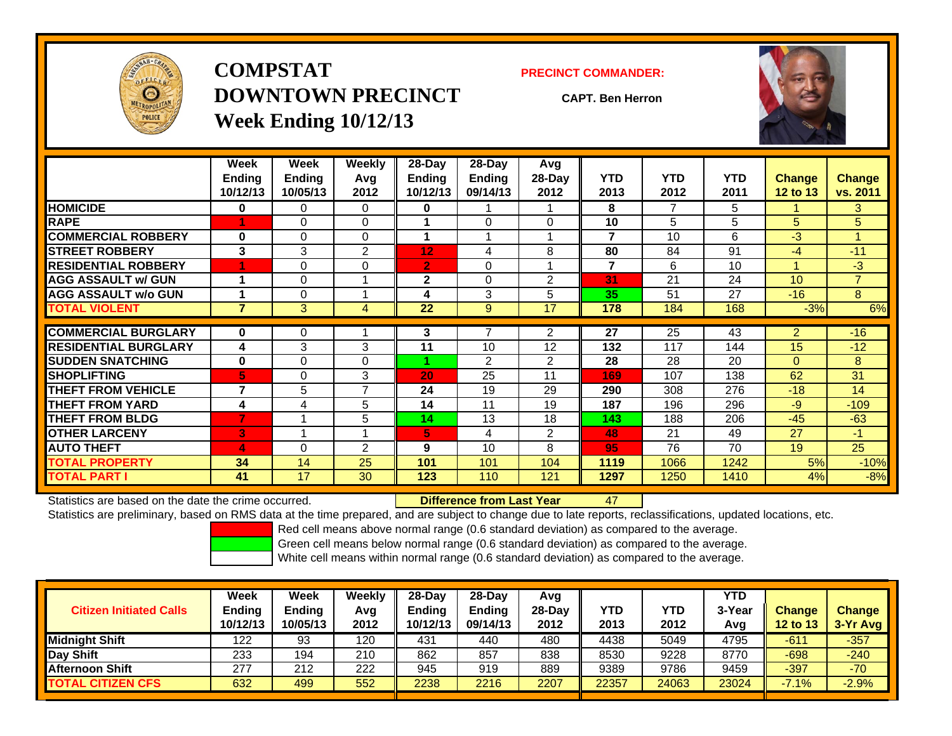

**COMPSTATDOWNTOWN PRECINCTWeek Ending 10/12/13**

#### **PRECINCT COMMANDER:**

**CAPT. Ben Herron**

47



|                             | Week<br><b>Ending</b><br>10/12/13 | Week<br><b>Ending</b><br>10/05/13 | Weekly<br>Avq<br>2012 | 28-Day<br>Ending<br>10/12/13 | 28-Day<br><b>Ending</b><br>09/14/13 | Avg<br>28-Day<br>2012 | <b>YTD</b><br>2013 | <b>YTD</b><br>2012 | <b>YTD</b><br>2011 | <b>Change</b><br>12 to 13 | Change<br>vs. 2011 |
|-----------------------------|-----------------------------------|-----------------------------------|-----------------------|------------------------------|-------------------------------------|-----------------------|--------------------|--------------------|--------------------|---------------------------|--------------------|
| <b>HOMICIDE</b>             | 0                                 | 0                                 | $\Omega$              | 0                            |                                     |                       | 8                  | 7                  | 5                  |                           | 3.                 |
| <b>RAPE</b>                 |                                   | 0                                 | $\Omega$              |                              | $\Omega$                            | $\Omega$              | 10                 | 5                  | 5                  | 5                         | 5                  |
| <b>COMMERCIAL ROBBERY</b>   | $\bf{0}$                          | 0                                 | $\Omega$              |                              |                                     |                       | 7                  | 10                 | 6                  | $-3$                      |                    |
| <b>STREET ROBBERY</b>       | 3                                 | 3                                 | $\overline{2}$        | 12                           | 4                                   | 8                     | 80                 | 84                 | 91                 | $-4$                      | $-11$              |
| <b>RESIDENTIAL ROBBERY</b>  |                                   | 0                                 | $\Omega$              | $\overline{2}$               | $\Omega$                            |                       | $\overline{7}$     | 6                  | 10                 | 4                         | $-3$               |
| <b>AGG ASSAULT w/ GUN</b>   | 1                                 | 0                                 |                       | $\mathbf{2}$                 | $\Omega$                            | $\overline{2}$        | 31                 | 21                 | 24                 | 10                        | $\overline{7}$     |
| <b>AGG ASSAULT w/o GUN</b>  | 1                                 | 0                                 |                       | 4                            | 3                                   | 5                     | 35                 | 51                 | 27                 | $-16$                     | 8                  |
| <b>TOTAL VIOLENT</b>        | $\overline{7}$                    | 3                                 | 4                     | 22                           | 9                                   | 17                    | 178                | 184                | 168                | $-3%$                     | 6%                 |
| <b>COMMERCIAL BURGLARY</b>  | $\bf{0}$                          | 0                                 |                       | 3                            | 7                                   | $\overline{2}$        | 27                 | 25                 | 43                 | $\overline{2}$            | $-16$              |
| <b>RESIDENTIAL BURGLARY</b> | 4                                 | 3                                 | 3                     | 11                           | 10                                  | 12                    | 132                | 117                | 144                | 15                        | $-12$              |
| <b>SUDDEN SNATCHING</b>     | $\bf{0}$                          | 0                                 | $\Omega$              |                              | $\overline{2}$                      | $\overline{2}$        | 28                 | 28                 | 20                 | $\Omega$                  | 8                  |
| <b>ISHOPLIFTING</b>         | 5                                 | 0                                 | 3                     | 20                           | 25                                  | 11                    | 169                | 107                | 138                | 62                        | 31                 |
| <b>THEFT FROM VEHICLE</b>   | 7                                 | 5                                 | $\overline{7}$        | 24                           | 19                                  | 29                    | 290                | 308                | 276                | $-18$                     | 14                 |
| <b>THEFT FROM YARD</b>      | 4                                 | 4                                 | 5                     | 14                           | 11                                  | 19                    | 187                | 196                | 296                | $-9$                      | $-109$             |
| <b>THEFT FROM BLDG</b>      | 7                                 | и                                 | 5                     | 14                           | 13                                  | 18                    | 143                | 188                | 206                | $-45$                     | $-63$              |
| <b>OTHER LARCENY</b>        | 3                                 | и                                 |                       | 5                            | 4                                   | $\overline{2}$        | 48                 | 21                 | 49                 | 27                        | $-1$               |
| <b>AUTO THEFT</b>           | 4                                 | 0                                 | 2                     | 9                            | 10                                  | 8                     | 95                 | 76                 | 70                 | 19                        | 25                 |
| <b>TOTAL PROPERTY</b>       | 34                                | 14                                | 25                    | 101                          | 101                                 | 104                   | 1119               | 1066               | 1242               | 5%                        | $-10%$             |
| <b>TOTAL PART I</b>         | 41                                | 17                                | 30                    | 123                          | 110                                 | 121                   | 1297               | 1250               | 1410               | 4%                        | $-8%$              |

Statistics are based on the date the crime occurred. **Difference from Last Year** 

Statistics are preliminary, based on RMS data at the time prepared, and are subject to change due to late reports, reclassifications, updated locations, etc.

Red cell means above normal range (0.6 standard deviation) as compared to the average.

Green cell means below normal range (0.6 standard deviation) as compared to the average.

|                                | Week          | Week          | Weekly | $28-Day$      | 28-Day   | Avg    |       |            | <b>YTD</b> |                 |               |
|--------------------------------|---------------|---------------|--------|---------------|----------|--------|-------|------------|------------|-----------------|---------------|
| <b>Citizen Initiated Calls</b> | <b>Ending</b> | <b>Endina</b> | Avg    | <b>Ending</b> | Ending   | 28-Dav | YTD   | <b>YTD</b> | 3-Year     | <b>Change</b>   | <b>Change</b> |
|                                | 10/12/13      | 10/05/13      | 2012   | 10/12/13      | 09/14/13 | 2012   | 2013  | 2012       | Avg        | <b>12 to 13</b> | $3-Yr$ Avg    |
| <b>Midnight Shift</b>          | 122           | 93            | 120    | 431           | 440      | 480    | 4438  | 5049       | 4795       | $-611$          | $-357$        |
| Day Shift                      | 233           | 194           | 210    | 862           | 857      | 838    | 8530  | 9228       | 8770       | $-698$          | $-240$        |
| <b>Afternoon Shift</b>         | 277           | 212           | 222    | 945           | 919      | 889    | 9389  | 9786       | 9459       | $-397$          | $-70$         |
| <b>TOTAL CITIZEN CFS</b>       | 632           | 499           | 552    | 2238          | 2216     | 2207   | 22357 | 24063      | 23024      | $-7.1%$         | $-2.9%$       |
|                                |               |               |        |               |          |        |       |            |            |                 |               |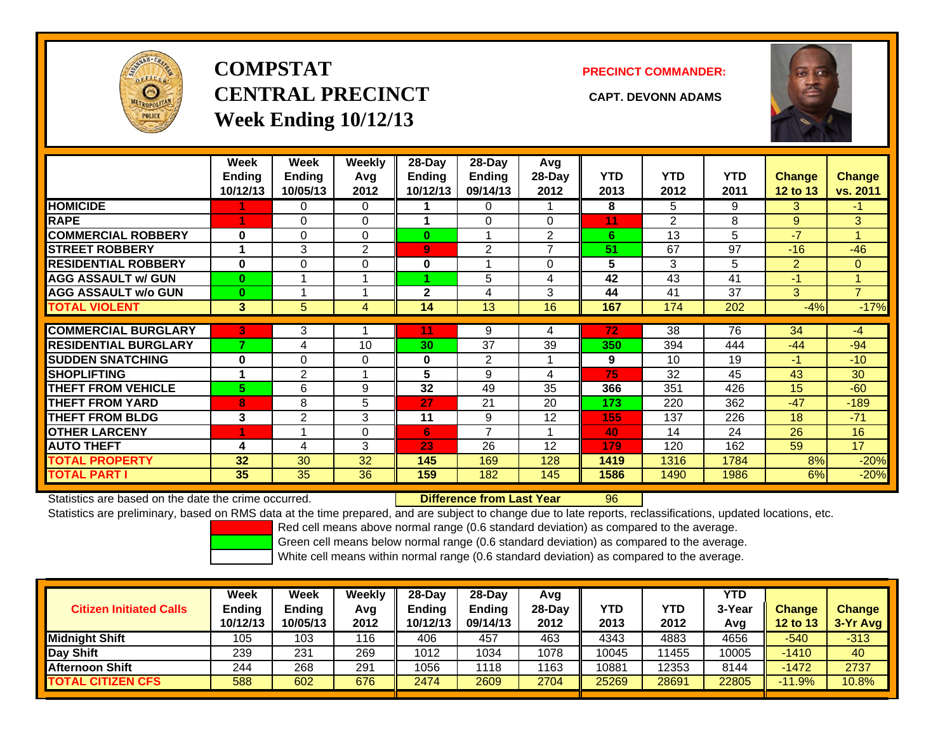

# **COMPSTATCENTRAL PRECINCT CAPT. DEVONN ADAMSWeek Ending 10/12/13**

#### **PRECINCT COMMANDER:**



|                             | Week<br>Ending<br>10/12/13 | Week<br><b>Ending</b><br>10/05/13 | <b>Weekly</b><br>Avg<br>2012 | 28-Day<br>Ending<br>10/12/13 | $28-Day$<br><b>Ending</b><br>09/14/13 | Avg<br>$28-Day$<br>2012  | <b>YTD</b><br>2013 | <b>YTD</b><br>2012 | <b>YTD</b><br>2011 | <b>Change</b><br>12 to 13 | <b>Change</b><br>vs. 2011 |
|-----------------------------|----------------------------|-----------------------------------|------------------------------|------------------------------|---------------------------------------|--------------------------|--------------------|--------------------|--------------------|---------------------------|---------------------------|
| <b>HOMICIDE</b>             |                            | $\Omega$                          | $\Omega$                     |                              | 0                                     |                          | 8                  | 5.                 | 9                  | 3                         | -1                        |
| <b>RAPE</b>                 | и                          | $\Omega$                          | 0                            |                              | $\Omega$                              | $\Omega$                 | 11                 | 2                  | 8                  | 9                         | 3                         |
| <b>COMMERCIAL ROBBERY</b>   | $\bf{0}$                   | $\Omega$                          | $\Omega$                     | $\bf{0}$                     |                                       | 2                        | 6                  | 13                 | 5                  | $-7$                      | 4                         |
| <b>STREET ROBBERY</b>       |                            | 3                                 | $\overline{2}$               | $\overline{9}$               | 2                                     | $\overline{\phantom{a}}$ | 51                 | 67                 | 97                 | $-16$                     | $-46$                     |
| <b>RESIDENTIAL ROBBERY</b>  | $\bf{0}$                   | 0                                 | $\Omega$                     | 0                            |                                       | $\Omega$                 | 5                  | 3                  | 5                  | 2                         | 0                         |
| <b>AGG ASSAULT w/ GUN</b>   | $\mathbf{0}$               |                                   | 1                            |                              | 5                                     | 4                        | 42                 | 43                 | 41                 | $-1$                      | 4                         |
| <b>AGG ASSAULT w/o GUN</b>  | $\mathbf{0}$               |                                   | 1                            | $\mathbf{2}$                 | 4                                     | 3                        | 44                 | 41                 | 37                 | 3                         | $\overline{7}$            |
| TOTAL VIOLENT               | 3                          | 5                                 | 4                            | 14                           | 13                                    | 16                       | 167                | 174                | 202                | $-4%$                     | $-17%$                    |
|                             |                            |                                   |                              |                              |                                       |                          |                    |                    |                    |                           |                           |
| <b>COMMERCIAL BURGLARY</b>  | 3                          | 3                                 |                              | 11                           | 9                                     | 4                        | 72                 | 38                 | 76                 | 34                        | $-4$                      |
| <b>RESIDENTIAL BURGLARY</b> |                            | $\overline{4}$                    | 10                           | 30                           | $\overline{37}$                       | 39                       | 350                | 394                | 444                | $-44$                     | $-94$                     |
| <b>SUDDEN SNATCHING</b>     | $\bf{0}$                   | $\Omega$                          | $\Omega$                     | 0                            | 2                                     |                          | 9                  | 10                 | 19                 | $-1$                      | $-10$                     |
| <b>SHOPLIFTING</b>          |                            | $\overline{2}$                    | 1                            | 5                            | 9                                     | 4                        | 75                 | 32                 | 45                 | 43                        | 30                        |
| <b>THEFT FROM VEHICLE</b>   | 5.                         | 6                                 | 9                            | 32                           | 49                                    | 35                       | 366                | 351                | 426                | 15                        | $-60$                     |
| <b>THEFT FROM YARD</b>      | 8                          | 8                                 | 5                            | 27                           | 21                                    | 20                       | 173                | 220                | 362                | $-47$                     | $-189$                    |
| <b>THEFT FROM BLDG</b>      | 3                          | $\overline{2}$                    | 3                            | 11                           | 9                                     | 12                       | 155                | 137                | 226                | 18                        | $-71$                     |
| <b>OTHER LARCENY</b>        | 4                          |                                   | $\Omega$                     | 6                            | $\overline{7}$                        |                          | 40                 | 14                 | 24                 | 26                        | 16                        |
| <b>AUTO THEFT</b>           | 4                          | $\overline{4}$                    | 3                            | 23                           | 26                                    | 12                       | 179                | 120                | 162                | 59                        | 17                        |
| <b>TOTAL PROPERTY</b>       | 32                         | 30                                | 32                           | 145                          | 169                                   | 128                      | 1419               | 1316               | 1784               | 8%                        | $-20%$                    |
| TOTAL PART I                | 35                         | 35                                | 36                           | 159                          | 182                                   | 145                      | 1586               | 1490               | 1986               | 6%                        | $-20%$                    |

Statistics are based on the date the crime occurred. **Difference from Last Year** 

96

Statistics are preliminary, based on RMS data at the time prepared, and are subject to change due to late reports, reclassifications, updated locations, etc.

Red cell means above normal range (0.6 standard deviation) as compared to the average.

Green cell means below normal range (0.6 standard deviation) as compared to the average.

|                                | Week          | Week          | Weeklv | 28-Dav   | 28-Dav        | Avg    |       |       | YTD    |                 |               |
|--------------------------------|---------------|---------------|--------|----------|---------------|--------|-------|-------|--------|-----------------|---------------|
| <b>Citizen Initiated Calls</b> | <b>Ending</b> | <b>Ending</b> | Avg    | Ending   | <b>Ending</b> | 28-Day | YTD   | YTD   | 3-Year | <b>Change</b>   | <b>Change</b> |
|                                | 10/12/13      | 10/05/13      | 2012   | 10/12/13 | 09/14/13      | 2012   | 2013  | 2012  | Avg    | <b>12 to 13</b> | 3-Yr Avg      |
| <b>Midnight Shift</b>          | 105           | 103           | 116    | 406      | 457           | 463    | 4343  | 4883  | 4656   | $-540$          | $-313$        |
| Day Shift                      | 239           | 231           | 269    | 1012     | 1034          | 1078   | 10045 | 11455 | 10005  | $-1410$         | 40            |
| <b>Afternoon Shift</b>         | 244           | 268           | 291    | 1056     | 1118          | 1163   | 10881 | 12353 | 8144   | $-1472$         | 2737          |
| <b>TOTAL CITIZEN CFS</b>       | 588           | 602           | 676    | 2474     | 2609          | 2704   | 25269 | 28691 | 22805  | $-11.9%$        | 10.8%         |
|                                |               |               |        |          |               |        |       |       |        |                 |               |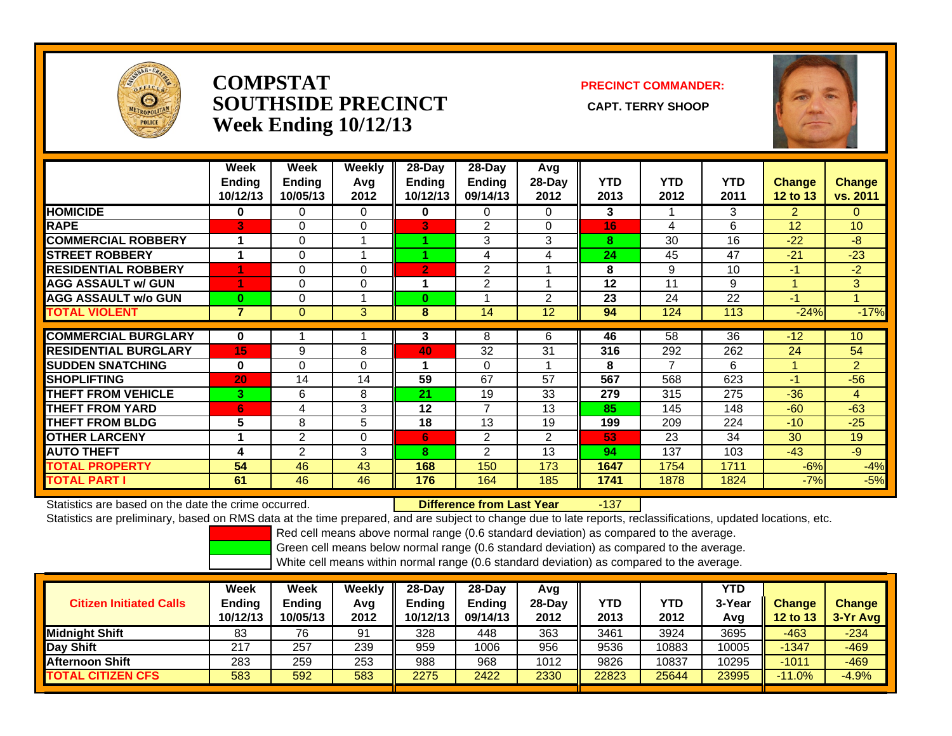

### **COMPSTATSOUTHSIDE PRECINCT** CAPT. TERRY SHOOP **Week Ending 10/12/13**

#### **PRECINCT COMMANDER:**



|                             | Week<br><b>Ending</b><br>10/12/13 | Week<br><b>Ending</b><br>10/05/13 | Weekly<br>Avg<br>2012 | $28$ -Day<br>Ending<br>10/12/13 | $28$ -Day<br><b>Ending</b><br>09/14/13 | Avg<br>$28-Day$<br>2012 | <b>YTD</b><br>2013 | <b>YTD</b><br>2012 | <b>YTD</b><br>2011 | <b>Change</b><br><b>12 to 13</b> | <b>Change</b><br>vs. 2011 |
|-----------------------------|-----------------------------------|-----------------------------------|-----------------------|---------------------------------|----------------------------------------|-------------------------|--------------------|--------------------|--------------------|----------------------------------|---------------------------|
| <b>HOMICIDE</b>             | 0                                 | 0                                 | 0                     | 0                               | $\Omega$                               | 0                       | 3                  |                    | 3                  | 2                                | 0                         |
| <b>RAPE</b>                 | 3                                 | 0                                 | 0                     | B                               | 2                                      | $\Omega$                | 16                 | 4                  | 6                  | 12                               | 10                        |
| <b>COMMERCIAL ROBBERY</b>   | 1                                 | 0                                 |                       |                                 | 3                                      | 3                       | 8                  | 30                 | 16                 | $-22$                            | $-8$                      |
| <b>STREET ROBBERY</b>       | 1                                 | 0                                 |                       |                                 | 4                                      | 4                       | 24                 | 45                 | 47                 | $-21$                            | $-23$                     |
| <b>RESIDENTIAL ROBBERY</b>  |                                   | 0                                 | 0                     | $\overline{2}$                  | $\overline{2}$                         |                         | 8                  | 9                  | 10                 | $-1$                             | $-2$                      |
| <b>AGG ASSAULT w/ GUN</b>   |                                   | 0                                 | 0                     |                                 | $\overline{2}$                         | 4                       | 12                 | 11                 | 9                  | 1                                | 3                         |
| <b>AGG ASSAULT w/o GUN</b>  | $\bf{0}$                          | 0                                 |                       | $\bf{0}$                        |                                        | $\overline{2}$          | 23                 | 24                 | 22                 | $-1$                             | 1                         |
| <b>TOTAL VIOLENT</b>        | $\overline{7}$                    | 0                                 | 3                     | 8                               | 14                                     | 12                      | 94                 | 124                | 113                | $-24%$                           | $-17%$                    |
|                             |                                   |                                   |                       |                                 |                                        |                         |                    |                    |                    |                                  |                           |
| <b>COMMERCIAL BURGLARY</b>  | 0                                 |                                   |                       | 3                               | 8                                      | 6.                      | 46                 | 58                 | 36                 | $-12$                            | 10 <sup>°</sup>           |
| <b>RESIDENTIAL BURGLARY</b> | 15                                | 9                                 | 8                     | 40                              | 32                                     | 31                      | 316                | 292                | 262                | 24                               | 54                        |
| <b>SUDDEN SNATCHING</b>     | $\bf{0}$                          | 0                                 | $\Omega$              |                                 | $\Omega$                               | и                       | 8                  | $\overline{7}$     | 6                  | 1                                | $\overline{2}$            |
| <b>ISHOPLIFTING</b>         | 20                                | 14                                | 14                    | 59                              | 67                                     | 57                      | 567                | 568                | 623                | $-1$                             | $-56$                     |
| <b>THEFT FROM VEHICLE</b>   | 3                                 | 6                                 | 8                     | 21                              | 19                                     | 33                      | 279                | 315                | 275                | $-36$                            | 4                         |
| <b>THEFT FROM YARD</b>      | 6                                 | 4                                 | 3                     | 12                              | $\overline{7}$                         | 13                      | 85                 | 145                | 148                | $-60$                            | $-63$                     |
| <b>THEFT FROM BLDG</b>      | 5                                 | 8                                 | 5                     | 18                              | 13                                     | 19                      | 199                | 209                | 224                | $-10$                            | $-25$                     |
| <b>OTHER LARCENY</b>        | 1                                 | $\overline{2}$                    | $\Omega$              | 6                               | $\overline{2}$                         | $\overline{2}$          | 53                 | 23                 | 34                 | 30                               | 19                        |
| <b>AUTO THEFT</b>           | 4                                 | 2                                 | 3                     | 8                               | 2                                      | 13                      | 94                 | 137                | 103                | $-43$                            | $-9$                      |
| <b>TOTAL PROPERTY</b>       | 54                                | 46                                | 43                    | 168                             | 150                                    | 173                     | 1647               | 1754               | 1711               | $-6%$                            | $-4%$                     |
| <b>TOTAL PART I</b>         | 61                                | 46                                | 46                    | 176                             | 164                                    | 185                     | 1741               | 1878               | 1824               | $-7%$                            | $-5%$                     |

Statistics are based on the date the crime occurred. **Difference from Last Year** 

r -137

Statistics are preliminary, based on RMS data at the time prepared, and are subject to change due to late reports, reclassifications, updated locations, etc.

Red cell means above normal range (0.6 standard deviation) as compared to the average.

Green cell means below normal range (0.6 standard deviation) as compared to the average.

| <b>Citizen Initiated Calls</b> | Week<br>Ending<br>10/12/13 | Week<br><b>Ending</b><br>10/05/13 | Weekly<br>Avg<br>2012 | $28-Day$<br><b>Ending</b><br>10/12/13 | 28-Dav<br><b>Ending</b><br>09/14/13 | Avg<br>$28$ -Day<br>2012 | YTD<br>2013 | YTD<br>2012 | YTD<br>3-Year | <b>Change</b><br>12 to 13 | <b>Change</b><br>3-Yr Avg |
|--------------------------------|----------------------------|-----------------------------------|-----------------------|---------------------------------------|-------------------------------------|--------------------------|-------------|-------------|---------------|---------------------------|---------------------------|
|                                |                            |                                   |                       |                                       |                                     |                          |             |             | Avg           |                           |                           |
| <b>I</b> Midniaht Shift        | 83                         | 76                                | 91                    | 328                                   | 448                                 | 363                      | 3461        | 3924        | 3695          | $-463$                    | $-234$                    |
| Day Shift                      | 217                        | 257                               | 239                   | 959                                   | 1006                                | 956                      | 9536        | 10883       | 10005         | $-1347$                   | $-469$                    |
| <b>Afternoon Shift</b>         | 283                        | 259                               | 253                   | 988                                   | 968                                 | 1012                     | 9826        | 10837       | 10295         | $-1011$                   | $-469$                    |
| <b>TOTAL CITIZEN CFS</b>       | 583                        | 592                               | 583                   | 2275                                  | 2422                                | 2330                     | 22823       | 25644       | 23995         | $-11.0%$                  | $-4.9%$                   |